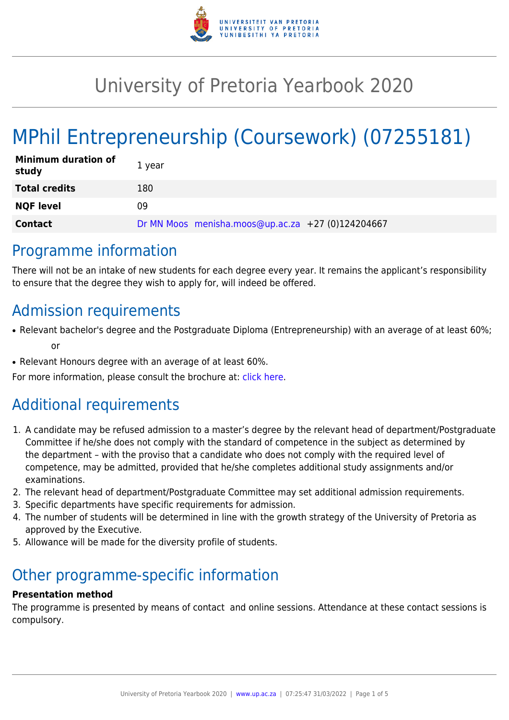

# University of Pretoria Yearbook 2020

# MPhil Entrepreneurship (Coursework) (07255181)

| <b>Minimum duration of</b><br>study | 1 year                                            |
|-------------------------------------|---------------------------------------------------|
| <b>Total credits</b>                | 180                                               |
| <b>NQF level</b>                    | 09                                                |
| <b>Contact</b>                      | Dr MN Moos menisha.moos@up.ac.za +27 (0)124204667 |

### Programme information

There will not be an intake of new students for each degree every year. It remains the applicant's responsibility to ensure that the degree they wish to apply for, will indeed be offered.

### Admission requirements

- Relevant bachelor's degree and the Postgraduate Diploma (Entrepreneurship) with an average of at least 60%; or
- Relevant Honours degree with an average of at least 60%.

For more information, please consult the brochure at: [click here.](https://www.up.ac.za/media/shared/77/ZP_Files/2018/bus.-mngt_mphil-entrepreneurship_-brochure_2019.zp160354.pdf)

## Additional requirements

- 1. A candidate may be refused admission to a master's degree by the relevant head of department/Postgraduate Committee if he/she does not comply with the standard of competence in the subject as determined by the department – with the proviso that a candidate who does not comply with the required level of competence, may be admitted, provided that he/she completes additional study assignments and/or examinations.
- 2. The relevant head of department/Postgraduate Committee may set additional admission requirements.
- 3. Specific departments have specific requirements for admission.
- 4. The number of students will be determined in line with the growth strategy of the University of Pretoria as approved by the Executive.
- 5. Allowance will be made for the diversity profile of students.

## Other programme-specific information

#### **Presentation method**

The programme is presented by means of contact and online sessions. Attendance at these contact sessions is compulsory.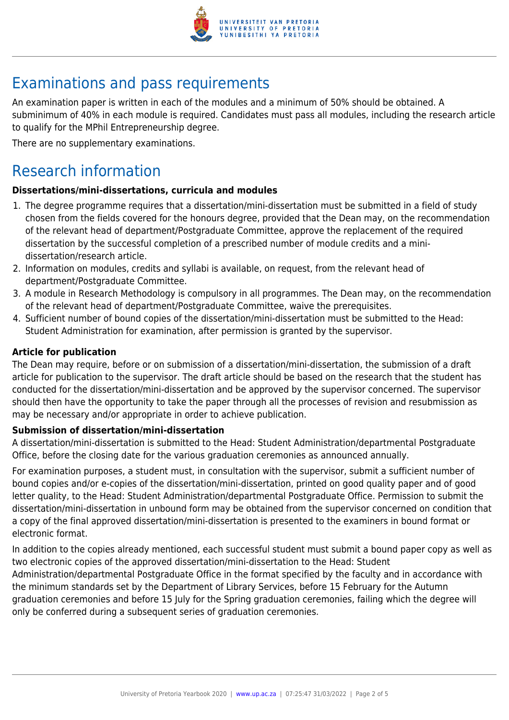

### Examinations and pass requirements

An examination paper is written in each of the modules and a minimum of 50% should be obtained. A subminimum of 40% in each module is required. Candidates must pass all modules, including the research article to qualify for the MPhil Entrepreneurship degree.

There are no supplementary examinations.

### Research information

#### **Dissertations/mini-dissertations, curricula and modules**

- 1. The degree programme requires that a dissertation/mini-dissertation must be submitted in a field of study chosen from the fields covered for the honours degree, provided that the Dean may, on the recommendation of the relevant head of department/Postgraduate Committee, approve the replacement of the required dissertation by the successful completion of a prescribed number of module credits and a minidissertation/research article.
- 2. Information on modules, credits and syllabi is available, on request, from the relevant head of department/Postgraduate Committee.
- 3. A module in Research Methodology is compulsory in all programmes. The Dean may, on the recommendation of the relevant head of department/Postgraduate Committee, waive the prerequisites.
- 4. Sufficient number of bound copies of the dissertation/mini-dissertation must be submitted to the Head: Student Administration for examination, after permission is granted by the supervisor.

#### **Article for publication**

The Dean may require, before or on submission of a dissertation/mini-dissertation, the submission of a draft article for publication to the supervisor. The draft article should be based on the research that the student has conducted for the dissertation/mini-dissertation and be approved by the supervisor concerned. The supervisor should then have the opportunity to take the paper through all the processes of revision and resubmission as may be necessary and/or appropriate in order to achieve publication.

#### **Submission of dissertation/mini-dissertation**

A dissertation/mini-dissertation is submitted to the Head: Student Administration/departmental Postgraduate Office, before the closing date for the various graduation ceremonies as announced annually.

For examination purposes, a student must, in consultation with the supervisor, submit a sufficient number of bound copies and/or e-copies of the dissertation/mini-dissertation, printed on good quality paper and of good letter quality, to the Head: Student Administration/departmental Postgraduate Office. Permission to submit the dissertation/mini-dissertation in unbound form may be obtained from the supervisor concerned on condition that a copy of the final approved dissertation/mini-dissertation is presented to the examiners in bound format or electronic format.

In addition to the copies already mentioned, each successful student must submit a bound paper copy as well as two electronic copies of the approved dissertation/mini-dissertation to the Head: Student Administration/departmental Postgraduate Office in the format specified by the faculty and in accordance with the minimum standards set by the Department of Library Services, before 15 February for the Autumn graduation ceremonies and before 15 July for the Spring graduation ceremonies, failing which the degree will only be conferred during a subsequent series of graduation ceremonies.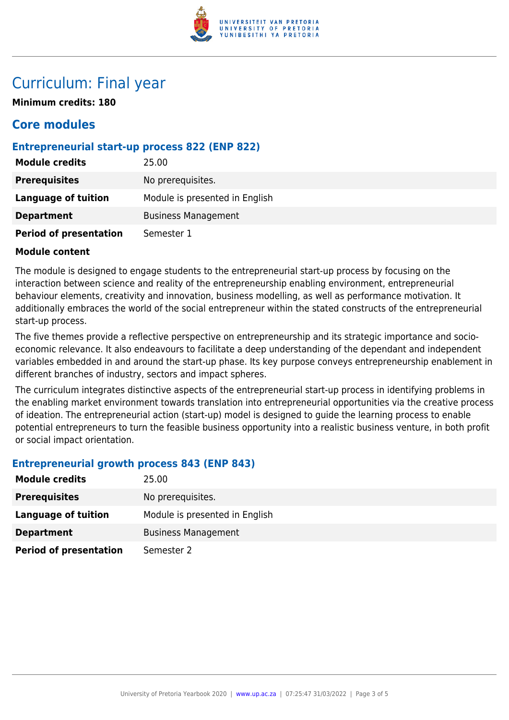

### Curriculum: Final year

**Minimum credits: 180**

### **Core modules**

#### **Entrepreneurial start-up process 822 (ENP 822)**

| <b>Module credits</b>         | 25.00                          |
|-------------------------------|--------------------------------|
| <b>Prerequisites</b>          | No prerequisites.              |
| <b>Language of tuition</b>    | Module is presented in English |
| <b>Department</b>             | <b>Business Management</b>     |
| <b>Period of presentation</b> | Semester 1                     |

#### **Module content**

The module is designed to engage students to the entrepreneurial start-up process by focusing on the interaction between science and reality of the entrepreneurship enabling environment, entrepreneurial behaviour elements, creativity and innovation, business modelling, as well as performance motivation. It additionally embraces the world of the social entrepreneur within the stated constructs of the entrepreneurial start-up process.

The five themes provide a reflective perspective on entrepreneurship and its strategic importance and socioeconomic relevance. It also endeavours to facilitate a deep understanding of the dependant and independent variables embedded in and around the start-up phase. Its key purpose conveys entrepreneurship enablement in different branches of industry, sectors and impact spheres.

The curriculum integrates distinctive aspects of the entrepreneurial start-up process in identifying problems in the enabling market environment towards translation into entrepreneurial opportunities via the creative process of ideation. The entrepreneurial action (start-up) model is designed to guide the learning process to enable potential entrepreneurs to turn the feasible business opportunity into a realistic business venture, in both profit or social impact orientation.

#### **Entrepreneurial growth process 843 (ENP 843)**

| <b>Module credits</b>         | 25.00                          |
|-------------------------------|--------------------------------|
| <b>Prerequisites</b>          | No prerequisites.              |
| Language of tuition           | Module is presented in English |
| <b>Department</b>             | <b>Business Management</b>     |
| <b>Period of presentation</b> | Semester 2                     |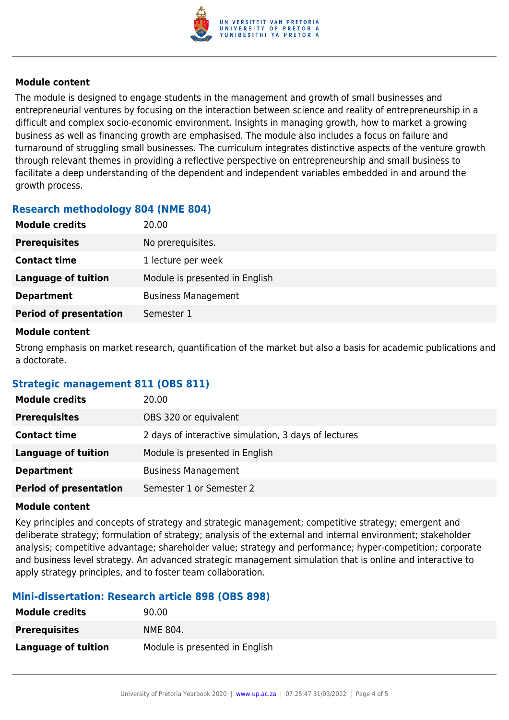

#### **Module content**

The module is designed to engage students in the management and growth of small businesses and entrepreneurial ventures by focusing on the interaction between science and reality of entrepreneurship in a difficult and complex socio-economic environment. Insights in managing growth, how to market a growing business as well as financing growth are emphasised. The module also includes a focus on failure and turnaround of struggling small businesses. The curriculum integrates distinctive aspects of the venture growth through relevant themes in providing a reflective perspective on entrepreneurship and small business to facilitate a deep understanding of the dependent and independent variables embedded in and around the growth process.

#### **Research methodology 804 (NME 804)**

| <b>Module credits</b>         | 20.00                          |
|-------------------------------|--------------------------------|
| <b>Prerequisites</b>          | No prerequisites.              |
| <b>Contact time</b>           | 1 lecture per week             |
| <b>Language of tuition</b>    | Module is presented in English |
| <b>Department</b>             | <b>Business Management</b>     |
| <b>Period of presentation</b> | Semester 1                     |

#### **Module content**

Strong emphasis on market research, quantification of the market but also a basis for academic publications and a doctorate.

#### **Strategic management 811 (OBS 811)**

| <b>Module credits</b>         | 20.00                                                |
|-------------------------------|------------------------------------------------------|
| <b>Prerequisites</b>          | OBS 320 or equivalent                                |
| <b>Contact time</b>           | 2 days of interactive simulation, 3 days of lectures |
| <b>Language of tuition</b>    | Module is presented in English                       |
| <b>Department</b>             | <b>Business Management</b>                           |
| <b>Period of presentation</b> | Semester 1 or Semester 2                             |

#### **Module content**

Key principles and concepts of strategy and strategic management; competitive strategy; emergent and deliberate strategy; formulation of strategy; analysis of the external and internal environment; stakeholder analysis; competitive advantage; shareholder value; strategy and performance; hyper-competition; corporate and business level strategy. An advanced strategic management simulation that is online and interactive to apply strategy principles, and to foster team collaboration.

#### **Mini-dissertation: Research article 898 (OBS 898)**

| <b>Module credits</b> | 90.00                          |
|-----------------------|--------------------------------|
| <b>Prerequisites</b>  | NME 804.                       |
| Language of tuition   | Module is presented in English |